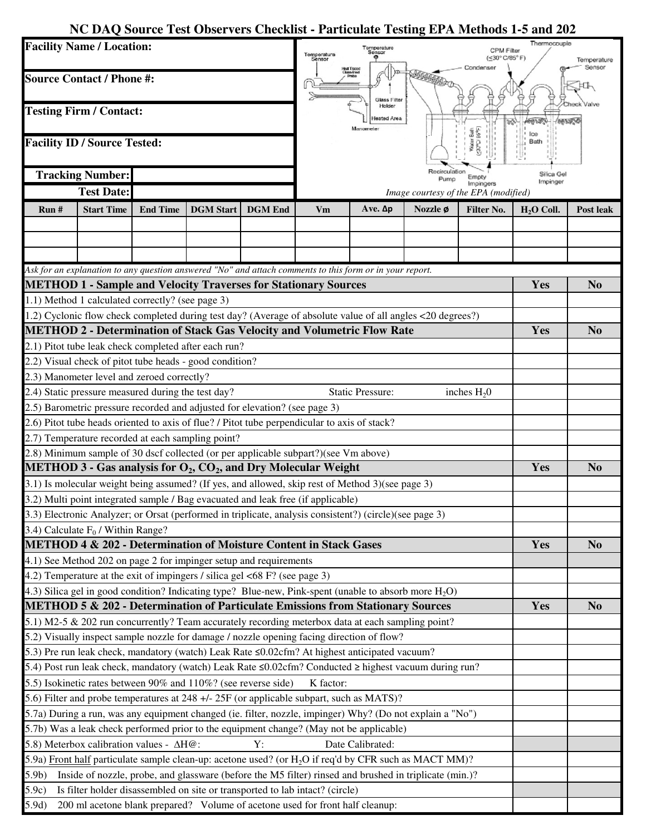## **NC DAQ Source Test Observers Checklist - Particulate Testing EPA Methods 1-5 and 202**

| Sensor<br>Condenser<br>Heat Traced<br>Glass-Imad<br>MANAR<br><b>Source Contact / Phone #:</b><br>Glass Filter<br>Holder<br><b>Testing Firm / Contact:</b><br>leated Area<br>Manometer<br><b>- Bath</b><br>86年)<br><b>Facility ID / Source Tested:</b><br><b>CubC</b><br>Bath<br>Recirculation<br><b>Tracking Number:</b><br>Silica Gel<br>Emoty<br>Pump<br>Impinger<br>Impingers<br><b>Test Date:</b><br>Image courtesy of the EPA (modified)<br><b>Start Time</b><br><b>DGM</b> Start<br><b>DGM</b> End<br>Ave. Δp<br>Nozzle ø<br>Run#<br><b>End Time</b><br>Vm<br><b>Filter No.</b><br>$H2O$ Coll.<br>Post leak |  |
|-------------------------------------------------------------------------------------------------------------------------------------------------------------------------------------------------------------------------------------------------------------------------------------------------------------------------------------------------------------------------------------------------------------------------------------------------------------------------------------------------------------------------------------------------------------------------------------------------------------------|--|
|                                                                                                                                                                                                                                                                                                                                                                                                                                                                                                                                                                                                                   |  |
|                                                                                                                                                                                                                                                                                                                                                                                                                                                                                                                                                                                                                   |  |
|                                                                                                                                                                                                                                                                                                                                                                                                                                                                                                                                                                                                                   |  |
|                                                                                                                                                                                                                                                                                                                                                                                                                                                                                                                                                                                                                   |  |
|                                                                                                                                                                                                                                                                                                                                                                                                                                                                                                                                                                                                                   |  |
|                                                                                                                                                                                                                                                                                                                                                                                                                                                                                                                                                                                                                   |  |
|                                                                                                                                                                                                                                                                                                                                                                                                                                                                                                                                                                                                                   |  |
|                                                                                                                                                                                                                                                                                                                                                                                                                                                                                                                                                                                                                   |  |
|                                                                                                                                                                                                                                                                                                                                                                                                                                                                                                                                                                                                                   |  |
| Ask for an explanation to any question answered "No" and attach comments to this form or in your report.                                                                                                                                                                                                                                                                                                                                                                                                                                                                                                          |  |
| <b>METHOD 1 - Sample and Velocity Traverses for Stationary Sources</b><br>Yes<br>N <sub>0</sub>                                                                                                                                                                                                                                                                                                                                                                                                                                                                                                                   |  |
| 1.1) Method 1 calculated correctly? (see page 3)                                                                                                                                                                                                                                                                                                                                                                                                                                                                                                                                                                  |  |
| 1.2) Cyclonic flow check completed during test day? (Average of absolute value of all angles <20 degrees?)                                                                                                                                                                                                                                                                                                                                                                                                                                                                                                        |  |
| <b>METHOD 2 - Determination of Stack Gas Velocity and Volumetric Flow Rate</b><br>Yes<br>N <sub>0</sub>                                                                                                                                                                                                                                                                                                                                                                                                                                                                                                           |  |
| 2.1) Pitot tube leak check completed after each run?                                                                                                                                                                                                                                                                                                                                                                                                                                                                                                                                                              |  |
| 2.2) Visual check of pitot tube heads - good condition?                                                                                                                                                                                                                                                                                                                                                                                                                                                                                                                                                           |  |
| 2.3) Manometer level and zeroed correctly?                                                                                                                                                                                                                                                                                                                                                                                                                                                                                                                                                                        |  |
| 2.4) Static pressure measured during the test day?<br><b>Static Pressure:</b><br>inches $H_2$ 0                                                                                                                                                                                                                                                                                                                                                                                                                                                                                                                   |  |
| 2.5) Barometric pressure recorded and adjusted for elevation? (see page 3)                                                                                                                                                                                                                                                                                                                                                                                                                                                                                                                                        |  |
| 2.6) Pitot tube heads oriented to axis of flue? / Pitot tube perpendicular to axis of stack?                                                                                                                                                                                                                                                                                                                                                                                                                                                                                                                      |  |
| 2.7) Temperature recorded at each sampling point?                                                                                                                                                                                                                                                                                                                                                                                                                                                                                                                                                                 |  |
| 2.8) Minimum sample of 30 dscf collected (or per applicable subpart?)(see Vm above)<br><b>METHOD 3 - Gas analysis for <math>O_2</math>, <math>CO_2</math>, and Dry Molecular Weight</b><br>Yes<br>N <sub>0</sub>                                                                                                                                                                                                                                                                                                                                                                                                  |  |
| 3.1) Is molecular weight being assumed? (If yes, and allowed, skip rest of Method 3) (see page 3)                                                                                                                                                                                                                                                                                                                                                                                                                                                                                                                 |  |
| 3.2) Multi point integrated sample / Bag evacuated and leak free (if applicable)                                                                                                                                                                                                                                                                                                                                                                                                                                                                                                                                  |  |
| 3.3) Electronic Analyzer; or Orsat (performed in triplicate, analysis consistent?) (circle)(see page 3)                                                                                                                                                                                                                                                                                                                                                                                                                                                                                                           |  |
|                                                                                                                                                                                                                                                                                                                                                                                                                                                                                                                                                                                                                   |  |
| 3.4) Calculate $F_0$ / Within Range?<br>METHOD 4 & 202 - Determination of Moisture Content in Stack Gases<br>Yes<br>N <sub>0</sub>                                                                                                                                                                                                                                                                                                                                                                                                                                                                                |  |
| 4.1) See Method 202 on page 2 for impinger setup and requirements                                                                                                                                                                                                                                                                                                                                                                                                                                                                                                                                                 |  |
| 4.2) Temperature at the exit of impingers / silica gel $\lt 68$ F? (see page 3)                                                                                                                                                                                                                                                                                                                                                                                                                                                                                                                                   |  |
| 4.3) Silica gel in good condition? Indicating type? Blue-new, Pink-spent (unable to absorb more $H_2O$ )                                                                                                                                                                                                                                                                                                                                                                                                                                                                                                          |  |
| METHOD 5 & 202 - Determination of Particulate Emissions from Stationary Sources<br>Yes<br>N <sub>0</sub>                                                                                                                                                                                                                                                                                                                                                                                                                                                                                                          |  |
| 5.1) M2-5 & 202 run concurrently? Team accurately recording meterbox data at each sampling point?                                                                                                                                                                                                                                                                                                                                                                                                                                                                                                                 |  |
| 5.2) Visually inspect sample nozzle for damage / nozzle opening facing direction of flow?                                                                                                                                                                                                                                                                                                                                                                                                                                                                                                                         |  |
| 5.3) Pre run leak check, mandatory (watch) Leak Rate ≤0.02cfm? At highest anticipated vacuum?                                                                                                                                                                                                                                                                                                                                                                                                                                                                                                                     |  |
| 5.4) Post run leak check, mandatory (watch) Leak Rate $\leq 0.02$ cfm? Conducted $\geq$ highest vacuum during run?                                                                                                                                                                                                                                                                                                                                                                                                                                                                                                |  |
| 5.5) Isokinetic rates between 90% and 110%? (see reverse side)<br>K factor:                                                                                                                                                                                                                                                                                                                                                                                                                                                                                                                                       |  |
| 5.6) Filter and probe temperatures at 248 +/- 25F (or applicable subpart, such as MATS)?                                                                                                                                                                                                                                                                                                                                                                                                                                                                                                                          |  |
| 5.7a) During a run, was any equipment changed (ie. filter, nozzle, impinger) Why? (Do not explain a "No")                                                                                                                                                                                                                                                                                                                                                                                                                                                                                                         |  |
| 5.7b) Was a leak check performed prior to the equipment change? (May not be applicable)                                                                                                                                                                                                                                                                                                                                                                                                                                                                                                                           |  |
| 5.8) Meterbox calibration values - ΔH@:<br>Y:<br>Date Calibrated:                                                                                                                                                                                                                                                                                                                                                                                                                                                                                                                                                 |  |
| 5.9a) Front half particulate sample clean-up: acetone used? (or H <sub>2</sub> O if req'd by CFR such as MACT MM)?                                                                                                                                                                                                                                                                                                                                                                                                                                                                                                |  |
| 5.9 <sub>b</sub><br>Inside of nozzle, probe, and glassware (before the M5 filter) rinsed and brushed in triplicate (min.)?                                                                                                                                                                                                                                                                                                                                                                                                                                                                                        |  |
| 5.9c)<br>Is filter holder disassembled on site or transported to lab intact? (circle)                                                                                                                                                                                                                                                                                                                                                                                                                                                                                                                             |  |
| 5.9d)<br>200 ml acetone blank prepared? Volume of acetone used for front half cleanup:                                                                                                                                                                                                                                                                                                                                                                                                                                                                                                                            |  |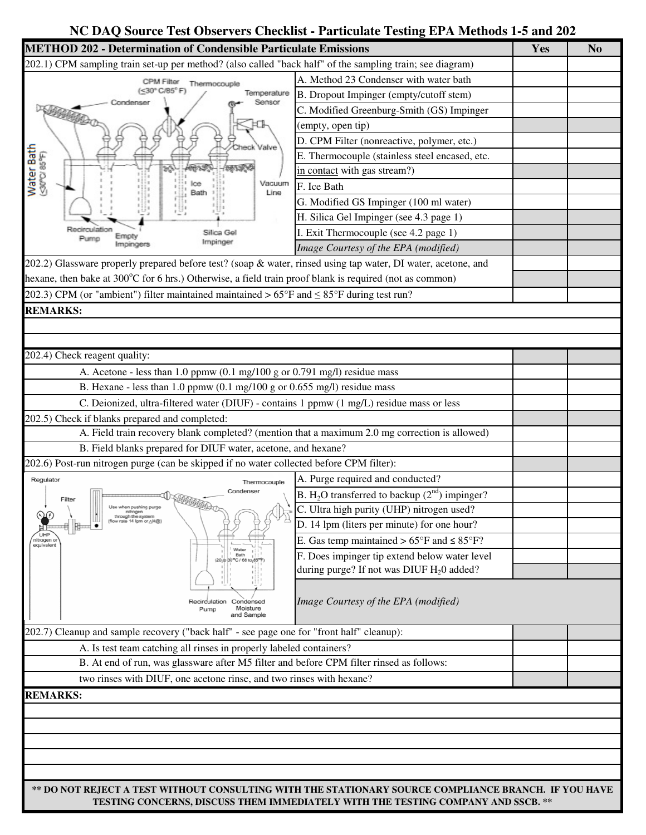## **NC DAQ Source Test Observers Checklist - Particulate Testing EPA Methods 1-5 and 202**

| <b>METHOD 202 - Determination of Condensible Particulate Emissions</b>                                            |                                                                                                      | Yes | N <sub>o</sub> |  |  |
|-------------------------------------------------------------------------------------------------------------------|------------------------------------------------------------------------------------------------------|-----|----------------|--|--|
| 202.1) CPM sampling train set-up per method? (also called "back half" of the sampling train; see diagram)         |                                                                                                      |     |                |  |  |
| Thermocouple<br>(<30° C/85° F)<br>Temperature                                                                     | A. Method 23 Condenser with water bath                                                               |     |                |  |  |
|                                                                                                                   | B. Dropout Impinger (empty/cutoff stem)                                                              |     |                |  |  |
| Sensor                                                                                                            | C. Modified Greenburg-Smith (GS) Impinger                                                            |     |                |  |  |
|                                                                                                                   | (empty, open tip)                                                                                    |     |                |  |  |
|                                                                                                                   | D. CPM Filter (nonreactive, polymer, etc.)                                                           |     |                |  |  |
| Valve                                                                                                             | E. Thermocouple (stainless steel encased, etc.                                                       |     |                |  |  |
| Water Bath<br><a0pc 85°f)<="" td=""><td>in contact with gas stream?)</td><td></td><td></td></a0pc>                | in contact with gas stream?)                                                                         |     |                |  |  |
| Vacuum<br>Line                                                                                                    | F. Ice Bath                                                                                          |     |                |  |  |
| Silica Gel<br>Impinger<br>mpingers                                                                                | G. Modified GS Impinger (100 ml water)                                                               |     |                |  |  |
|                                                                                                                   | H. Silica Gel Impinger (see 4.3 page 1)                                                              |     |                |  |  |
|                                                                                                                   | I. Exit Thermocouple (see 4.2 page 1)                                                                |     |                |  |  |
|                                                                                                                   | Image Courtesy of the EPA (modified)                                                                 |     |                |  |  |
| 202.2) Glassware properly prepared before test? (soap & water, rinsed using tap water, DI water, acetone, and     |                                                                                                      |     |                |  |  |
| hexane, then bake at 300 $\degree$ C for 6 hrs.) Otherwise, a field train proof blank is required (not as common) |                                                                                                      |     |                |  |  |
| 202.3) CPM (or "ambient") filter maintained maintained $> 65^{\circ}F$ and $\leq 85^{\circ}F$ during test run?    |                                                                                                      |     |                |  |  |
| <b>REMARKS:</b>                                                                                                   |                                                                                                      |     |                |  |  |
|                                                                                                                   |                                                                                                      |     |                |  |  |
|                                                                                                                   |                                                                                                      |     |                |  |  |
| 202.4) Check reagent quality:                                                                                     |                                                                                                      |     |                |  |  |
| A. Acetone - less than 1.0 ppmw (0.1 mg/100 g or 0.791 mg/l) residue mass                                         |                                                                                                      |     |                |  |  |
| B. Hexane - less than 1.0 ppmw $(0.1 \text{ mg}/100 \text{ g or } 0.655 \text{ mg/l})$ residue mass               |                                                                                                      |     |                |  |  |
| C. Deionized, ultra-filtered water (DIUF) - contains 1 ppmw (1 mg/L) residue mass or less                         |                                                                                                      |     |                |  |  |
| 202.5) Check if blanks prepared and completed:                                                                    |                                                                                                      |     |                |  |  |
| A. Field train recovery blank completed? (mention that a maximum 2.0 mg correction is allowed)                    |                                                                                                      |     |                |  |  |
| B. Field blanks prepared for DIUF water, acetone, and hexane?                                                     |                                                                                                      |     |                |  |  |
| 202.6) Post-run nitrogen purge (can be skipped if no water collected before CPM filter):                          |                                                                                                      |     |                |  |  |
| Regulator<br>Thermocouple                                                                                         | A. Purge required and conducted?                                                                     |     |                |  |  |
| Condenser                                                                                                         | B. H <sub>2</sub> O transferred to backup $(2nd)$ impinger?                                          |     |                |  |  |
| Filter<br>Use when pushing purge                                                                                  | C. Ultra high purity (UHP) nitrogen used?                                                            |     |                |  |  |
| through the system<br>(flow rate 14 lpm or AH@)                                                                   | D. 14 lpm (liters per minute) for one hour?                                                          |     |                |  |  |
| nitrogen or                                                                                                       | E. Gas temp maintained $> 65^{\circ}F$ and $\leq 85^{\circ}F$ ?                                      |     |                |  |  |
| equivalent<br><b>Bath</b><br>30°C / 68                                                                            | F. Does impinger tip extend below water level                                                        |     |                |  |  |
|                                                                                                                   | during purge? If not was DIUF H <sub>2</sub> 0 added?                                                |     |                |  |  |
|                                                                                                                   |                                                                                                      |     |                |  |  |
| <b>Recirculation</b><br>Condensed                                                                                 | Image Courtesy of the EPA (modified)                                                                 |     |                |  |  |
| Moisture<br>Pump<br>and Sample                                                                                    |                                                                                                      |     |                |  |  |
| 202.7) Cleanup and sample recovery ("back half" - see page one for "front half" cleanup):                         |                                                                                                      |     |                |  |  |
| A. Is test team catching all rinses in properly labeled containers?                                               |                                                                                                      |     |                |  |  |
| B. At end of run, was glassware after M5 filter and before CPM filter rinsed as follows:                          |                                                                                                      |     |                |  |  |
| two rinses with DIUF, one acetone rinse, and two rinses with hexane?                                              |                                                                                                      |     |                |  |  |
| <b>REMARKS:</b>                                                                                                   |                                                                                                      |     |                |  |  |
|                                                                                                                   |                                                                                                      |     |                |  |  |
|                                                                                                                   |                                                                                                      |     |                |  |  |
|                                                                                                                   |                                                                                                      |     |                |  |  |
|                                                                                                                   |                                                                                                      |     |                |  |  |
|                                                                                                                   |                                                                                                      |     |                |  |  |
|                                                                                                                   | ** DO NOT REJECT A TEST WITHOUT CONSULTING WITH THE STATIONARY SOURCE COMPLIANCE BRANCH. IF YOU HAVE |     |                |  |  |
|                                                                                                                   |                                                                                                      |     |                |  |  |

**TESTING CONCERNS, DISCUSS THEM IMMEDIATELY WITH THE TESTING COMPANY AND SSCB. \*\***